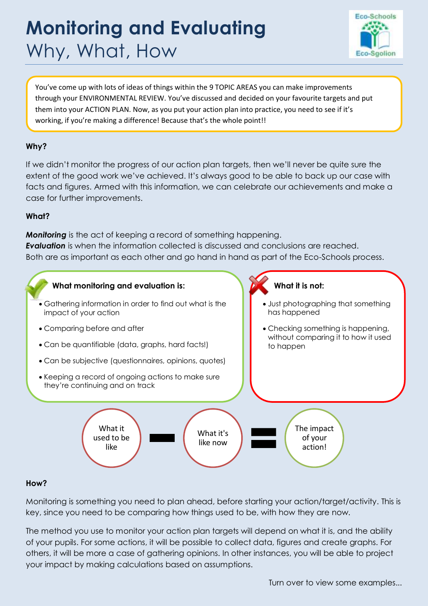# **Monitoring and Evaluating**  Why, What, How



You've come up with lots of ideas of things within the 9 TOPIC AREAS you can make improvements through your ENVIRONMENTAL REVIEW. You've discussed and decided on your favourite targets and put them into your ACTION PLAN. Now, as you put your action plan into practice, you need to see if it's working, if you're making a difference! Because that's the whole point!!

# **Why?**

If we didn't monitor the progress of our action plan targets, then we'll never be quite sure the extent of the good work we've achieved. It's always good to be able to back up our case with facts and figures. Armed with this information, we can celebrate our achievements and make a case for further improvements.

## **What?**

*Monitoring* is the act of keeping a record of something happening. *Evaluation* is when the information collected is discussed and conclusions are reached. Both are as important as each other and go hand in hand as part of the Eco-Schools process.



# **How?**

Monitoring is something you need to plan ahead, before starting your action/target/activity. This is key, since you need to be comparing how things used to be, with how they are now.

The method you use to monitor your action plan targets will depend on what it is, and the ability of your pupils. For some actions, it will be possible to collect data, figures and create graphs. For others, it will be more a case of gathering opinions. In other instances, you will be able to project your impact by making calculations based on assumptions.